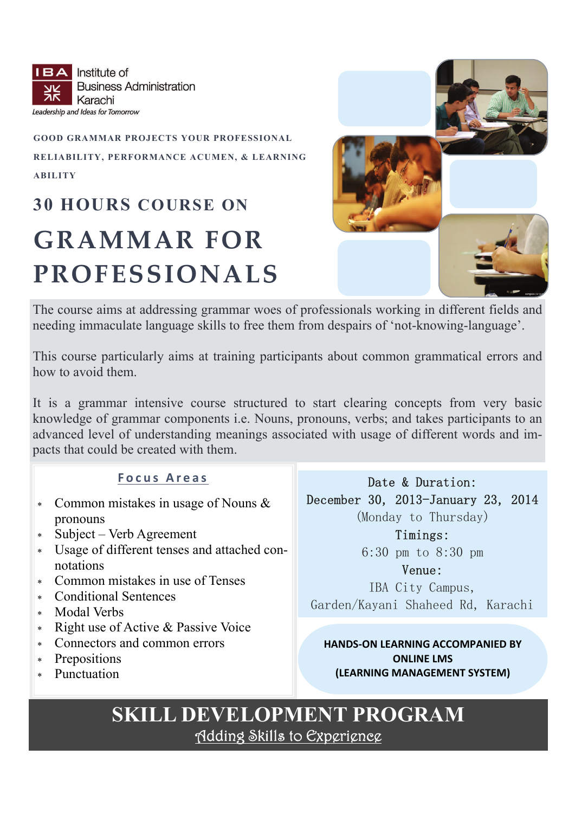**IBA** Institute of **Business Administration** Karachi Leadership and Ideas for Tomorrow

#### **GOOD GRAMMAR PROJECTS YOUR PROFESSIONAL RELIABILITY, PERFORMANCE ACUMEN, & LEARNING ABILITY**

### **30 HOURS COURSE ON**

### **GRAMMAR FOR PROFESSIONALS**



The course aims at addressing grammar woes of professionals working in different fields and needing immaculate language skills to free them from despairs of 'not-knowing-language'.

This course particularly aims at training participants about common grammatical errors and how to avoid them.

It is a grammar intensive course structured to start clearing concepts from very basic knowledge of grammar components i.e. Nouns, pronouns, verbs; and takes participants to an advanced level of understanding meanings associated with usage of different words and impacts that could be created with them.

#### **Focus Areas**

- Common mistakes in usage of Nouns & pronouns
- Subject Verb Agreement
- Usage of different tenses and attached connotations
- Common mistakes in use of Tenses
- Conditional Sentences
- Modal Verbs
- \* Right use of Active & Passive Voice
- Connectors and common errors
- Prepositions
- Punctuation

Date & Duration: December 30, 2013-January 23, 2014 (Monday to Thursday)

> Timings: 6:30 pm to 8:30 pm

Venue: IBA City Campus, Garden/Kayani Shaheed Rd, Karachi

**HANDS‐ON LEARNING ACCOMPANIED BY ONLINE LMS (LEARNING MANAGEMENT SYSTEM)**

# **SKILL DEVELOPMENT PROGRAM** Adding Skills to Experience